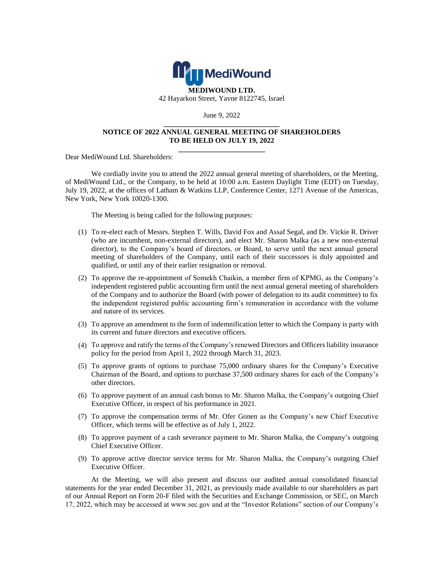

June 9, 2022 **\_\_\_\_\_\_\_\_\_\_\_\_\_\_\_\_\_\_\_\_\_\_\_\_\_\_\_\_\_\_\_\_**

## **NOTICE OF 2022 ANNUAL GENERAL MEETING OF SHAREHOLDERS TO BE HELD ON JULY 19, 2022 \_\_\_\_\_\_\_\_\_\_\_\_\_\_\_\_\_\_\_\_\_\_\_\_**

Dear MediWound Ltd. Shareholders:

We cordially invite you to attend the 2022 annual general meeting of shareholders, or the Meeting, of MediWound Ltd., or the Company, to be held at 10:00 a.m. Eastern Daylight Time (EDT) on Tuesday, July 19, 2022, at the offices of Latham & Watkins LLP, Conference Center, 1271 Avenue of the Americas, New York, New York 10020-1300.

The Meeting is being called for the following purposes:

- (1) To re-elect each of Messrs. Stephen T. Wills, David Fox and Assaf Segal, and Dr. Vickie R. Driver (who are incumbent, non-external directors), and elect Mr. Sharon Malka (as a new non-external director), to the Company's board of directors, or Board, to serve until the next annual general meeting of shareholders of the Company, until each of their successors is duly appointed and qualified, or until any of their earlier resignation or removal.
- (2) To approve the re-appointment of Somekh Chaikin, a member firm of KPMG, as the Company's independent registered public accounting firm until the next annual general meeting of shareholders of the Company and to authorize the Board (with power of delegation to its audit committee) to fix the independent registered public accounting firm's remuneration in accordance with the volume and nature of its services.
- (3) To approve an amendment to the form of indemnification letter to which the Company is party with its current and future directors and executive officers.
- (4) To approve and ratify the terms of the Company's renewed Directors and Officers liability insurance policy for the period from April 1, 2022 through March 31, 2023.
- (5) To approve grants of options to purchase 75,000 ordinary shares for the Company's Executive Chairman of the Board, and options to purchase 37,500 ordinary shares for each of the Company's other directors.
- (6) To approve payment of an annual cash bonus to Mr. Sharon Malka, the Company's outgoing Chief Executive Officer, in respect of his performance in 2021.
- (7) To approve the compensation terms of Mr. Ofer Gonen as the Company's new Chief Executive Officer, which terms will be effective as of July 1, 2022.
- (8) To approve payment of a cash severance payment to Mr. Sharon Malka, the Company's outgoing Chief Executive Officer.
- (9) To approve active director service terms for Mr. Sharon Malka, the Company's outgoing Chief Executive Officer.

At the Meeting, we will also present and discuss our audited annual consolidated financial statements for the year ended December 31, 2021, as previously made available to our shareholders as part of our Annual Report on Form 20-F filed with the Securities and Exchange Commission, or SEC, on March 17, 2022, which may be accessed at www.sec.gov and at the "Investor Relations" section of our Company's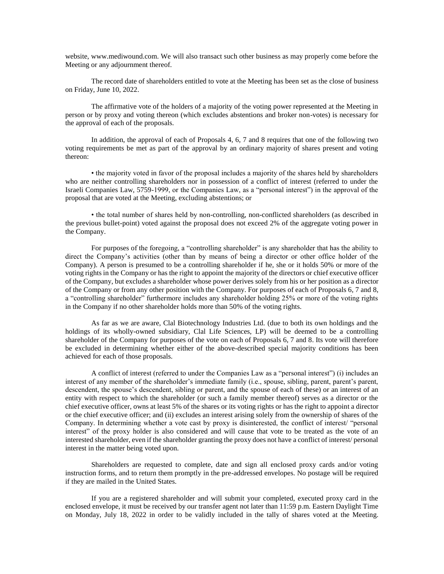website, www.mediwound.com. We will also transact such other business as may properly come before the Meeting or any adjournment thereof.

The record date of shareholders entitled to vote at the Meeting has been set as the close of business on Friday, June 10, 2022.

The affirmative vote of the holders of a majority of the voting power represented at the Meeting in person or by proxy and voting thereon (which excludes abstentions and broker non-votes) is necessary for the approval of each of the proposals.

In addition, the approval of each of Proposals 4, 6, 7 and 8 requires that one of the following two voting requirements be met as part of the approval by an ordinary majority of shares present and voting thereon:

• the majority voted in favor of the proposal includes a majority of the shares held by shareholders who are neither controlling shareholders nor in possession of a conflict of interest (referred to under the Israeli Companies Law, 5759-1999, or the Companies Law, as a "personal interest") in the approval of the proposal that are voted at the Meeting, excluding abstentions; or

• the total number of shares held by non-controlling, non-conflicted shareholders (as described in the previous bullet-point) voted against the proposal does not exceed 2% of the aggregate voting power in the Company.

For purposes of the foregoing, a "controlling shareholder" is any shareholder that has the ability to direct the Company's activities (other than by means of being a director or other office holder of the Company). A person is presumed to be a controlling shareholder if he, she or it holds 50% or more of the voting rights in the Company or has the right to appoint the majority of the directors or chief executive officer of the Company, but excludes a shareholder whose power derives solely from his or her position as a director of the Company or from any other position with the Company. For purposes of each of Proposals 6, 7 and 8, a "controlling shareholder" furthermore includes any shareholder holding 25% or more of the voting rights in the Company if no other shareholder holds more than 50% of the voting rights.

As far as we are aware, Clal Biotechnology Industries Ltd. (due to both its own holdings and the holdings of its wholly-owned subsidiary, Clal Life Sciences, LP) will be deemed to be a controlling shareholder of the Company for purposes of the vote on each of Proposals 6, 7 and 8. Its vote will therefore be excluded in determining whether either of the above-described special majority conditions has been achieved for each of those proposals.

A conflict of interest (referred to under the Companies Law as a "personal interest") (i) includes an interest of any member of the shareholder's immediate family (i.e., spouse, sibling, parent, parent's parent, descendent, the spouse's descendent, sibling or parent, and the spouse of each of these) or an interest of an entity with respect to which the shareholder (or such a family member thereof) serves as a director or the chief executive officer, owns at least 5% of the shares or its voting rights or has the right to appoint a director or the chief executive officer; and (ii) excludes an interest arising solely from the ownership of shares of the Company. In determining whether a vote cast by proxy is disinterested, the conflict of interest/ "personal interest" of the proxy holder is also considered and will cause that vote to be treated as the vote of an interested shareholder, even if the shareholder granting the proxy does not have a conflict of interest/ personal interest in the matter being voted upon.

Shareholders are requested to complete, date and sign all enclosed proxy cards and/or voting instruction forms, and to return them promptly in the pre-addressed envelopes. No postage will be required if they are mailed in the United States.

If you are a registered shareholder and will submit your completed, executed proxy card in the enclosed envelope, it must be received by our transfer agent not later than 11:59 p.m. Eastern Daylight Time on Monday, July 18, 2022 in order to be validly included in the tally of shares voted at the Meeting.